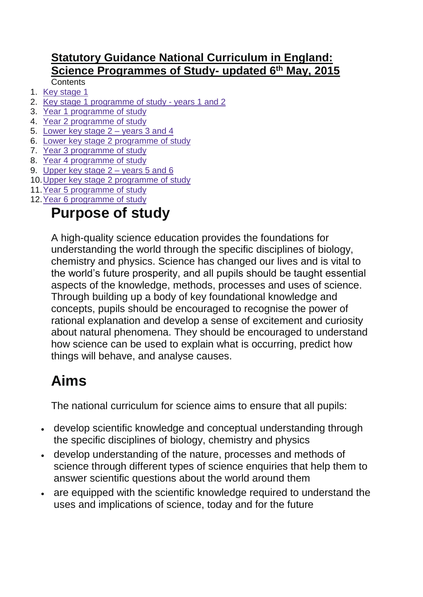#### **Statutory Guidance National Curriculum in England: Science Programmes of Study- updated 6th May, 2015**

#### **Contents**

- 1. Key [stage](https://www.gov.uk/government/publications/national-curriculum-in-england-science-programmes-of-study/national-curriculum-in-england-science-programmes-of-study#key-stage-1) 1
- 2. Key stage 1 [programme](https://www.gov.uk/government/publications/national-curriculum-in-england-science-programmes-of-study/national-curriculum-in-england-science-programmes-of-study#key-stage-1-programme-of-study---years-1-and-2) of study years 1 and 2
- 3. Year 1 [programme](https://www.gov.uk/government/publications/national-curriculum-in-england-science-programmes-of-study/national-curriculum-in-england-science-programmes-of-study#year-1-programme-of-study) of study
- 4. Year 2 [programme](https://www.gov.uk/government/publications/national-curriculum-in-england-science-programmes-of-study/national-curriculum-in-england-science-programmes-of-study#year-2-programme-of-study) of study
- 5. [Lower](https://www.gov.uk/government/publications/national-curriculum-in-england-science-programmes-of-study/national-curriculum-in-england-science-programmes-of-study#lower-key-stage-2--years-3-and-4) key stage 2 years 3 and 4
- 6. Lower key stage 2 [programme](https://www.gov.uk/government/publications/national-curriculum-in-england-science-programmes-of-study/national-curriculum-in-england-science-programmes-of-study#lower-key-stage-2-programme-of-study) of study
- 7. Year 3 [programme](https://www.gov.uk/government/publications/national-curriculum-in-england-science-programmes-of-study/national-curriculum-in-england-science-programmes-of-study#year-3-programme-of-study) of study
- 8. Year 4 [programme](https://www.gov.uk/government/publications/national-curriculum-in-england-science-programmes-of-study/national-curriculum-in-england-science-programmes-of-study#year-4-programme-of-study) of study
- 9. [Upper](https://www.gov.uk/government/publications/national-curriculum-in-england-science-programmes-of-study/national-curriculum-in-england-science-programmes-of-study#upper-key-stage-2--years-5-and-6) key stage 2 years 5 and 6
- 10.Upper key stage 2 [programme](https://www.gov.uk/government/publications/national-curriculum-in-england-science-programmes-of-study/national-curriculum-in-england-science-programmes-of-study#upper-key-stage-2-programme-of-study) of study
- 11.Year 5 [programme](https://www.gov.uk/government/publications/national-curriculum-in-england-science-programmes-of-study/national-curriculum-in-england-science-programmes-of-study#year-5-programme-of-study) of study
- 12.Year 6 [programme](https://www.gov.uk/government/publications/national-curriculum-in-england-science-programmes-of-study/national-curriculum-in-england-science-programmes-of-study#year-6-programme-of-study) of study

### **Purpose of study**

A high-quality science education provides the foundations for understanding the world through the specific disciplines of biology, chemistry and physics. Science has changed our lives and is vital to the world's future prosperity, and all pupils should be taught essential aspects of the knowledge, methods, processes and uses of science. Through building up a body of key foundational knowledge and concepts, pupils should be encouraged to recognise the power of rational explanation and develop a sense of excitement and curiosity about natural phenomena. They should be encouraged to understand how science can be used to explain what is occurring, predict how things will behave, and analyse causes.

# **Aims**

The national curriculum for science aims to ensure that all pupils:

- develop scientific knowledge and conceptual understanding through the specific disciplines of biology, chemistry and physics
- develop understanding of the nature, processes and methods of science through different types of science enquiries that help them to answer scientific questions about the world around them
- are equipped with the scientific knowledge required to understand the uses and implications of science, today and for the future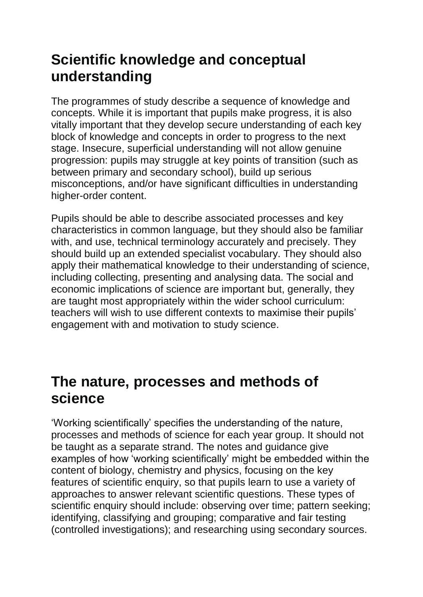### **Scientific knowledge and conceptual understanding**

The programmes of study describe a sequence of knowledge and concepts. While it is important that pupils make progress, it is also vitally important that they develop secure understanding of each key block of knowledge and concepts in order to progress to the next stage. Insecure, superficial understanding will not allow genuine progression: pupils may struggle at key points of transition (such as between primary and secondary school), build up serious misconceptions, and/or have significant difficulties in understanding higher-order content.

Pupils should be able to describe associated processes and key characteristics in common language, but they should also be familiar with, and use, technical terminology accurately and precisely. They should build up an extended specialist vocabulary. They should also apply their mathematical knowledge to their understanding of science, including collecting, presenting and analysing data. The social and economic implications of science are important but, generally, they are taught most appropriately within the wider school curriculum: teachers will wish to use different contexts to maximise their pupils' engagement with and motivation to study science.

### **The nature, processes and methods of science**

'Working scientifically' specifies the understanding of the nature, processes and methods of science for each year group. It should not be taught as a separate strand. The notes and guidance give examples of how 'working scientifically' might be embedded within the content of biology, chemistry and physics, focusing on the key features of scientific enquiry, so that pupils learn to use a variety of approaches to answer relevant scientific questions. These types of scientific enquiry should include: observing over time; pattern seeking; identifying, classifying and grouping; comparative and fair testing (controlled investigations); and researching using secondary sources.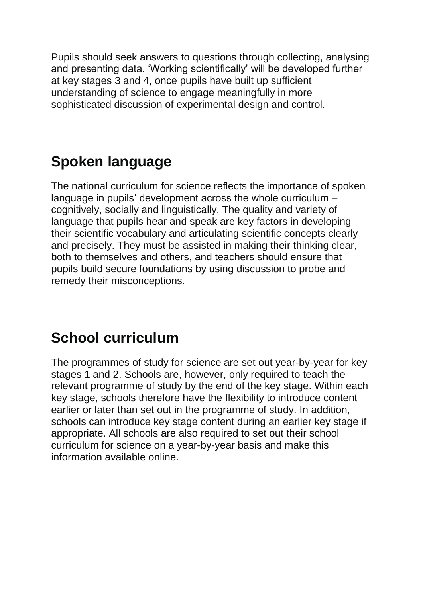Pupils should seek answers to questions through collecting, analysing and presenting data. 'Working scientifically' will be developed further at key stages 3 and 4, once pupils have built up sufficient understanding of science to engage meaningfully in more sophisticated discussion of experimental design and control.

### **Spoken language**

The national curriculum for science reflects the importance of spoken language in pupils' development across the whole curriculum – cognitively, socially and linguistically. The quality and variety of language that pupils hear and speak are key factors in developing their scientific vocabulary and articulating scientific concepts clearly and precisely. They must be assisted in making their thinking clear, both to themselves and others, and teachers should ensure that pupils build secure foundations by using discussion to probe and remedy their misconceptions.

### **School curriculum**

The programmes of study for science are set out year-by-year for key stages 1 and 2. Schools are, however, only required to teach the relevant programme of study by the end of the key stage. Within each key stage, schools therefore have the flexibility to introduce content earlier or later than set out in the programme of study. In addition, schools can introduce key stage content during an earlier key stage if appropriate. All schools are also required to set out their school curriculum for science on a year-by-year basis and make this information available online.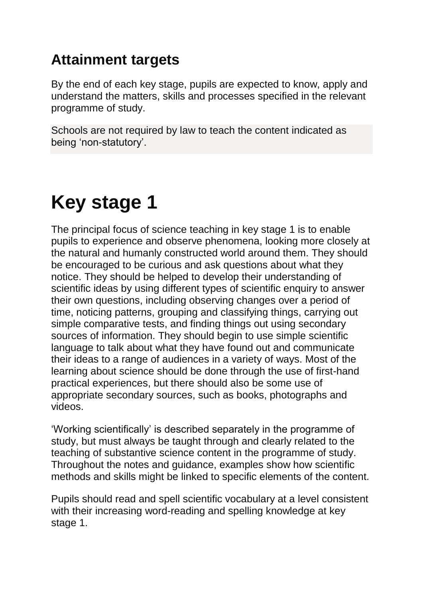### **Attainment targets**

By the end of each key stage, pupils are expected to know, apply and understand the matters, skills and processes specified in the relevant programme of study.

Schools are not required by law to teach the content indicated as being 'non-statutory'.

# **Key stage 1**

The principal focus of science teaching in key stage 1 is to enable pupils to experience and observe phenomena, looking more closely at the natural and humanly constructed world around them. They should be encouraged to be curious and ask questions about what they notice. They should be helped to develop their understanding of scientific ideas by using different types of scientific enquiry to answer their own questions, including observing changes over a period of time, noticing patterns, grouping and classifying things, carrying out simple comparative tests, and finding things out using secondary sources of information. They should begin to use simple scientific language to talk about what they have found out and communicate their ideas to a range of audiences in a variety of ways. Most of the learning about science should be done through the use of first-hand practical experiences, but there should also be some use of appropriate secondary sources, such as books, photographs and videos.

'Working scientifically' is described separately in the programme of study, but must always be taught through and clearly related to the teaching of substantive science content in the programme of study. Throughout the notes and guidance, examples show how scientific methods and skills might be linked to specific elements of the content.

Pupils should read and spell scientific vocabulary at a level consistent with their increasing word-reading and spelling knowledge at key stage 1.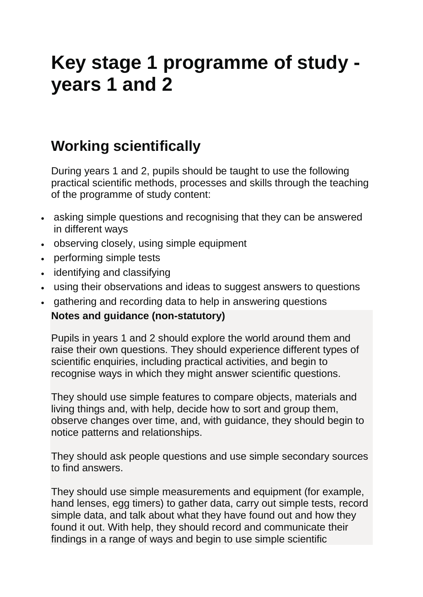# **Key stage 1 programme of study years 1 and 2**

## **Working scientifically**

During years 1 and 2, pupils should be taught to use the following practical scientific methods, processes and skills through the teaching of the programme of study content:

- asking simple questions and recognising that they can be answered in different ways
- observing closely, using simple equipment
- performing simple tests
- identifying and classifying
- using their observations and ideas to suggest answers to questions
- gathering and recording data to help in answering questions **Notes and guidance (non-statutory)**

Pupils in years 1 and 2 should explore the world around them and raise their own questions. They should experience different types of scientific enquiries, including practical activities, and begin to recognise ways in which they might answer scientific questions.

They should use simple features to compare objects, materials and living things and, with help, decide how to sort and group them, observe changes over time, and, with guidance, they should begin to notice patterns and relationships.

They should ask people questions and use simple secondary sources to find answers.

They should use simple measurements and equipment (for example, hand lenses, egg timers) to gather data, carry out simple tests, record simple data, and talk about what they have found out and how they found it out. With help, they should record and communicate their findings in a range of ways and begin to use simple scientific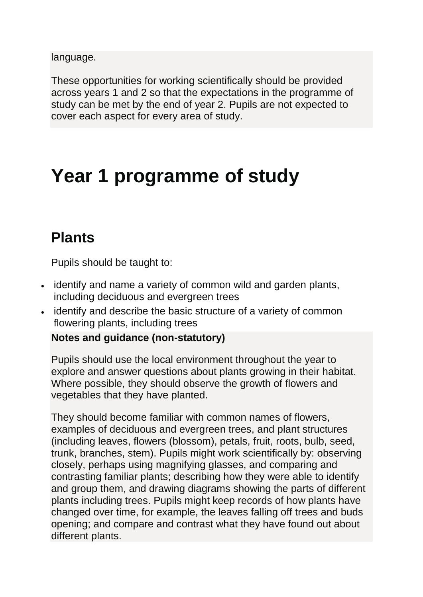language.

These opportunities for working scientifically should be provided across years 1 and 2 so that the expectations in the programme of study can be met by the end of year 2. Pupils are not expected to cover each aspect for every area of study.

# **Year 1 programme of study**

### **Plants**

Pupils should be taught to:

- identify and name a variety of common wild and garden plants, including deciduous and evergreen trees
- identify and describe the basic structure of a variety of common flowering plants, including trees

#### **Notes and guidance (non-statutory)**

Pupils should use the local environment throughout the year to explore and answer questions about plants growing in their habitat. Where possible, they should observe the growth of flowers and vegetables that they have planted.

They should become familiar with common names of flowers, examples of deciduous and evergreen trees, and plant structures (including leaves, flowers (blossom), petals, fruit, roots, bulb, seed, trunk, branches, stem). Pupils might work scientifically by: observing closely, perhaps using magnifying glasses, and comparing and contrasting familiar plants; describing how they were able to identify and group them, and drawing diagrams showing the parts of different plants including trees. Pupils might keep records of how plants have changed over time, for example, the leaves falling off trees and buds opening; and compare and contrast what they have found out about different plants.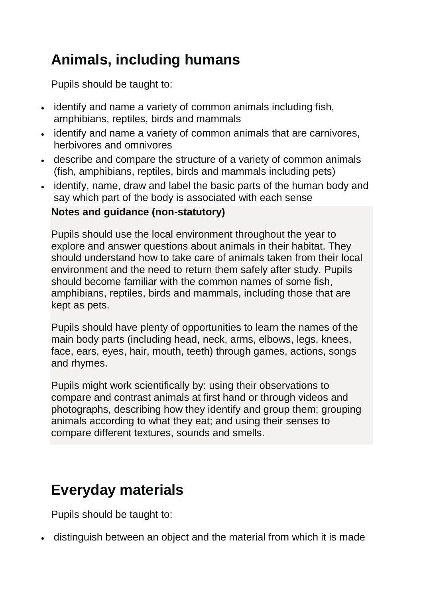## **Animals, including humans**

Pupils should be taught to:

- identify and name a variety of common animals including fish, amphibians, reptiles, birds and mammals
- identify and name a variety of common animals that are carnivores, herbivores and omnivores
- describe and compare the structure of a variety of common animals (fish, amphibians, reptiles, birds and mammals including pets)
- identify, name, draw and label the basic parts of the human body and say which part of the body is associated with each sense

#### **Notes and guidance (non-statutory)**

Pupils should use the local environment throughout the year to explore and answer questions about animals in their habitat. They should understand how to take care of animals taken from their local environment and the need to return them safely after study. Pupils should become familiar with the common names of some fish, amphibians, reptiles, birds and mammals, including those that are kept as pets.

Pupils should have plenty of opportunities to learn the names of the main body parts (including head, neck, arms, elbows, legs, knees, face, ears, eyes, hair, mouth, teeth) through games, actions, songs and rhymes.

Pupils might work scientifically by: using their observations to compare and contrast animals at first hand or through videos and photographs, describing how they identify and group them; grouping animals according to what they eat; and using their senses to compare different textures, sounds and smells.

### **Everyday materials**

Pupils should be taught to:

distinguish between an object and the material from which it is made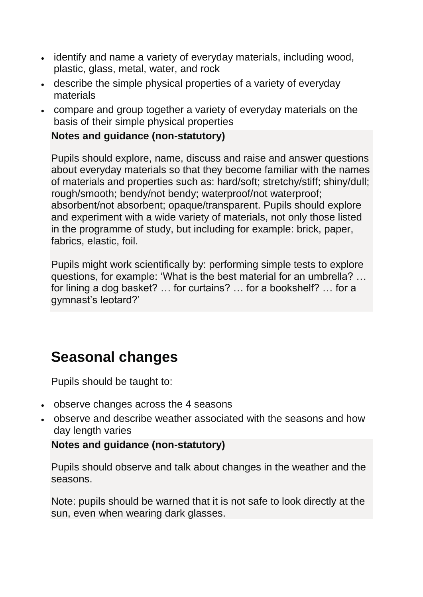- identify and name a variety of everyday materials, including wood, plastic, glass, metal, water, and rock
- describe the simple physical properties of a variety of everyday materials
- compare and group together a variety of everyday materials on the basis of their simple physical properties

#### **Notes and guidance (non-statutory)**

Pupils should explore, name, discuss and raise and answer questions about everyday materials so that they become familiar with the names of materials and properties such as: hard/soft; stretchy/stiff; shiny/dull; rough/smooth; bendy/not bendy; waterproof/not waterproof; absorbent/not absorbent; opaque/transparent. Pupils should explore and experiment with a wide variety of materials, not only those listed in the programme of study, but including for example: brick, paper, fabrics, elastic, foil.

Pupils might work scientifically by: performing simple tests to explore questions, for example: 'What is the best material for an umbrella? … for lining a dog basket? … for curtains? … for a bookshelf? … for a gymnast's leotard?'

### **Seasonal changes**

Pupils should be taught to:

- observe changes across the 4 seasons
- observe and describe weather associated with the seasons and how day length varies

#### **Notes and guidance (non-statutory)**

Pupils should observe and talk about changes in the weather and the seasons.

Note: pupils should be warned that it is not safe to look directly at the sun, even when wearing dark glasses.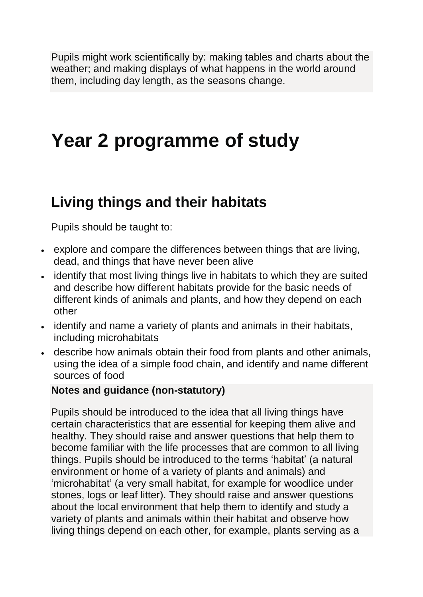Pupils might work scientifically by: making tables and charts about the weather; and making displays of what happens in the world around them, including day length, as the seasons change.

# **Year 2 programme of study**

## **Living things and their habitats**

Pupils should be taught to:

- explore and compare the differences between things that are living, dead, and things that have never been alive
- identify that most living things live in habitats to which they are suited and describe how different habitats provide for the basic needs of different kinds of animals and plants, and how they depend on each other
- identify and name a variety of plants and animals in their habitats, including microhabitats
- describe how animals obtain their food from plants and other animals, using the idea of a simple food chain, and identify and name different sources of food

#### **Notes and guidance (non-statutory)**

Pupils should be introduced to the idea that all living things have certain characteristics that are essential for keeping them alive and healthy. They should raise and answer questions that help them to become familiar with the life processes that are common to all living things. Pupils should be introduced to the terms 'habitat' (a natural environment or home of a variety of plants and animals) and 'microhabitat' (a very small habitat, for example for woodlice under stones, logs or leaf litter). They should raise and answer questions about the local environment that help them to identify and study a variety of plants and animals within their habitat and observe how living things depend on each other, for example, plants serving as a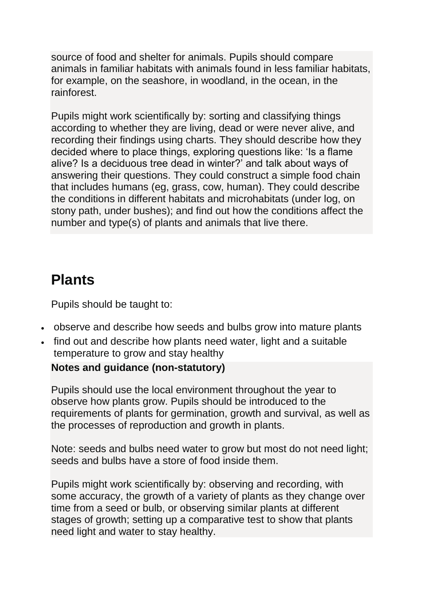source of food and shelter for animals. Pupils should compare animals in familiar habitats with animals found in less familiar habitats, for example, on the seashore, in woodland, in the ocean, in the rainforest.

Pupils might work scientifically by: sorting and classifying things according to whether they are living, dead or were never alive, and recording their findings using charts. They should describe how they decided where to place things, exploring questions like: 'Is a flame alive? Is a deciduous tree dead in winter?' and talk about ways of answering their questions. They could construct a simple food chain that includes humans (eg, grass, cow, human). They could describe the conditions in different habitats and microhabitats (under log, on stony path, under bushes); and find out how the conditions affect the number and type(s) of plants and animals that live there.

### **Plants**

Pupils should be taught to:

- observe and describe how seeds and bulbs grow into mature plants
- find out and describe how plants need water, light and a suitable temperature to grow and stay healthy

#### **Notes and guidance (non-statutory)**

Pupils should use the local environment throughout the year to observe how plants grow. Pupils should be introduced to the requirements of plants for germination, growth and survival, as well as the processes of reproduction and growth in plants.

Note: seeds and bulbs need water to grow but most do not need light; seeds and bulbs have a store of food inside them.

Pupils might work scientifically by: observing and recording, with some accuracy, the growth of a variety of plants as they change over time from a seed or bulb, or observing similar plants at different stages of growth; setting up a comparative test to show that plants need light and water to stay healthy.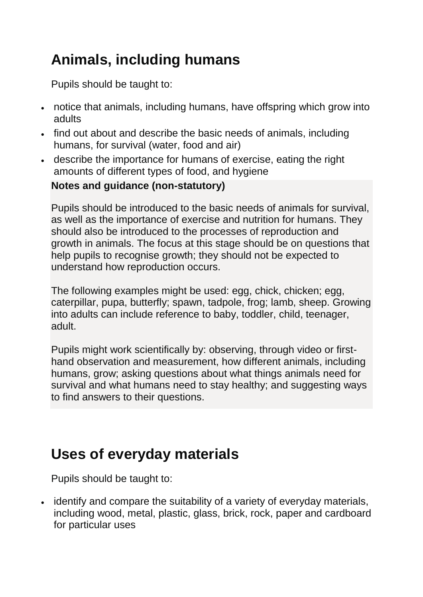## **Animals, including humans**

Pupils should be taught to:

- notice that animals, including humans, have offspring which grow into adults
- find out about and describe the basic needs of animals, including humans, for survival (water, food and air)
- describe the importance for humans of exercise, eating the right amounts of different types of food, and hygiene

#### **Notes and guidance (non-statutory)**

Pupils should be introduced to the basic needs of animals for survival, as well as the importance of exercise and nutrition for humans. They should also be introduced to the processes of reproduction and growth in animals. The focus at this stage should be on questions that help pupils to recognise growth; they should not be expected to understand how reproduction occurs.

The following examples might be used: egg, chick, chicken: egg, caterpillar, pupa, butterfly; spawn, tadpole, frog; lamb, sheep. Growing into adults can include reference to baby, toddler, child, teenager, adult.

Pupils might work scientifically by: observing, through video or firsthand observation and measurement, how different animals, including humans, grow; asking questions about what things animals need for survival and what humans need to stay healthy; and suggesting ways to find answers to their questions.

### **Uses of everyday materials**

Pupils should be taught to:

• identify and compare the suitability of a variety of everyday materials, including wood, metal, plastic, glass, brick, rock, paper and cardboard for particular uses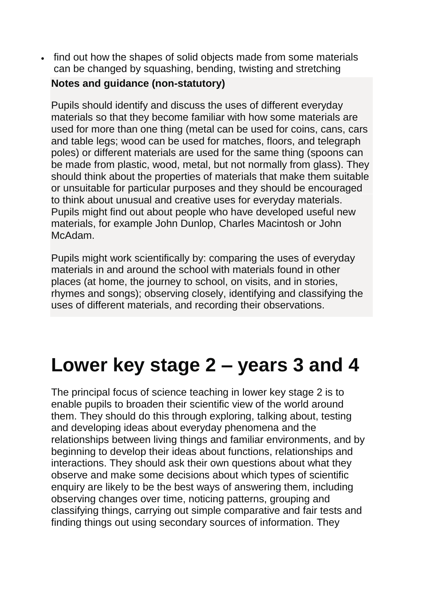• find out how the shapes of solid objects made from some materials can be changed by squashing, bending, twisting and stretching

#### **Notes and guidance (non-statutory)**

Pupils should identify and discuss the uses of different everyday materials so that they become familiar with how some materials are used for more than one thing (metal can be used for coins, cans, cars and table legs; wood can be used for matches, floors, and telegraph poles) or different materials are used for the same thing (spoons can be made from plastic, wood, metal, but not normally from glass). They should think about the properties of materials that make them suitable or unsuitable for particular purposes and they should be encouraged to think about unusual and creative uses for everyday materials. Pupils might find out about people who have developed useful new materials, for example John Dunlop, Charles Macintosh or John McAdam.

Pupils might work scientifically by: comparing the uses of everyday materials in and around the school with materials found in other places (at home, the journey to school, on visits, and in stories, rhymes and songs); observing closely, identifying and classifying the uses of different materials, and recording their observations.

# **Lower key stage 2 – years 3 and 4**

The principal focus of science teaching in lower key stage 2 is to enable pupils to broaden their scientific view of the world around them. They should do this through exploring, talking about, testing and developing ideas about everyday phenomena and the relationships between living things and familiar environments, and by beginning to develop their ideas about functions, relationships and interactions. They should ask their own questions about what they observe and make some decisions about which types of scientific enquiry are likely to be the best ways of answering them, including observing changes over time, noticing patterns, grouping and classifying things, carrying out simple comparative and fair tests and finding things out using secondary sources of information. They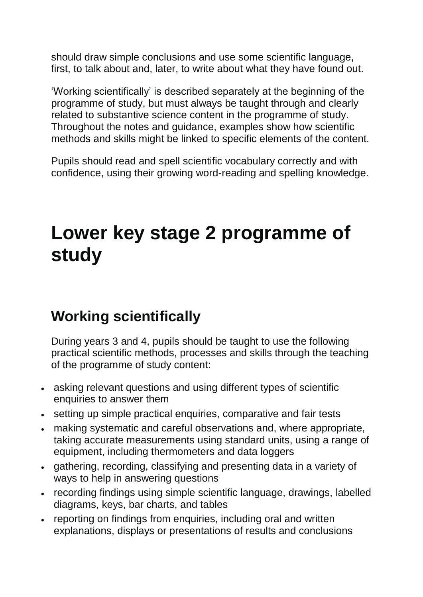should draw simple conclusions and use some scientific language, first, to talk about and, later, to write about what they have found out.

'Working scientifically' is described separately at the beginning of the programme of study, but must always be taught through and clearly related to substantive science content in the programme of study. Throughout the notes and guidance, examples show how scientific methods and skills might be linked to specific elements of the content.

Pupils should read and spell scientific vocabulary correctly and with confidence, using their growing word-reading and spelling knowledge.

# **Lower key stage 2 programme of study**

### **Working scientifically**

During years 3 and 4, pupils should be taught to use the following practical scientific methods, processes and skills through the teaching of the programme of study content:

- asking relevant questions and using different types of scientific enquiries to answer them
- setting up simple practical enquiries, comparative and fair tests
- making systematic and careful observations and, where appropriate, taking accurate measurements using standard units, using a range of equipment, including thermometers and data loggers
- gathering, recording, classifying and presenting data in a variety of ways to help in answering questions
- recording findings using simple scientific language, drawings, labelled diagrams, keys, bar charts, and tables
- reporting on findings from enquiries, including oral and written explanations, displays or presentations of results and conclusions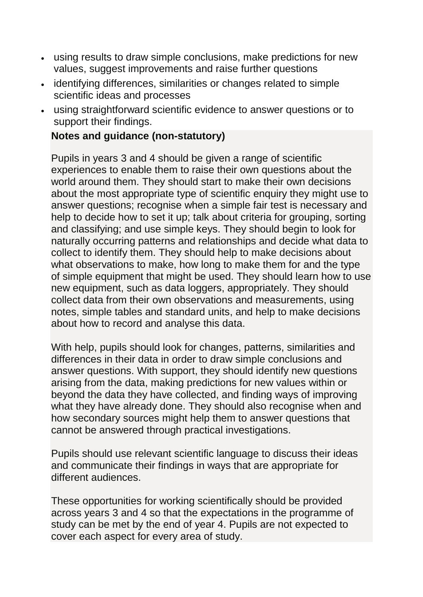- using results to draw simple conclusions, make predictions for new values, suggest improvements and raise further questions
- identifying differences, similarities or changes related to simple scientific ideas and processes
- using straightforward scientific evidence to answer questions or to support their findings.

#### **Notes and guidance (non-statutory)**

Pupils in years 3 and 4 should be given a range of scientific experiences to enable them to raise their own questions about the world around them. They should start to make their own decisions about the most appropriate type of scientific enquiry they might use to answer questions; recognise when a simple fair test is necessary and help to decide how to set it up; talk about criteria for grouping, sorting and classifying; and use simple keys. They should begin to look for naturally occurring patterns and relationships and decide what data to collect to identify them. They should help to make decisions about what observations to make, how long to make them for and the type of simple equipment that might be used. They should learn how to use new equipment, such as data loggers, appropriately. They should collect data from their own observations and measurements, using notes, simple tables and standard units, and help to make decisions about how to record and analyse this data.

With help, pupils should look for changes, patterns, similarities and differences in their data in order to draw simple conclusions and answer questions. With support, they should identify new questions arising from the data, making predictions for new values within or beyond the data they have collected, and finding ways of improving what they have already done. They should also recognise when and how secondary sources might help them to answer questions that cannot be answered through practical investigations.

Pupils should use relevant scientific language to discuss their ideas and communicate their findings in ways that are appropriate for different audiences.

These opportunities for working scientifically should be provided across years 3 and 4 so that the expectations in the programme of study can be met by the end of year 4. Pupils are not expected to cover each aspect for every area of study.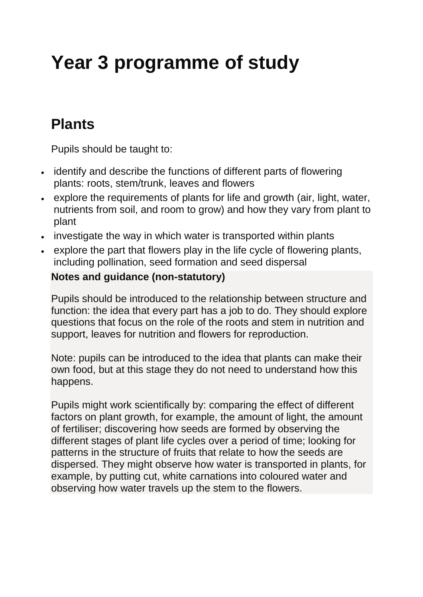# **Year 3 programme of study**

## **Plants**

Pupils should be taught to:

- identify and describe the functions of different parts of flowering plants: roots, stem/trunk, leaves and flowers
- explore the requirements of plants for life and growth (air, light, water, nutrients from soil, and room to grow) and how they vary from plant to plant
- investigate the way in which water is transported within plants
- explore the part that flowers play in the life cycle of flowering plants, including pollination, seed formation and seed dispersal

#### **Notes and guidance (non-statutory)**

Pupils should be introduced to the relationship between structure and function: the idea that every part has a job to do. They should explore questions that focus on the role of the roots and stem in nutrition and support, leaves for nutrition and flowers for reproduction.

Note: pupils can be introduced to the idea that plants can make their own food, but at this stage they do not need to understand how this happens.

Pupils might work scientifically by: comparing the effect of different factors on plant growth, for example, the amount of light, the amount of fertiliser; discovering how seeds are formed by observing the different stages of plant life cycles over a period of time; looking for patterns in the structure of fruits that relate to how the seeds are dispersed. They might observe how water is transported in plants, for example, by putting cut, white carnations into coloured water and observing how water travels up the stem to the flowers.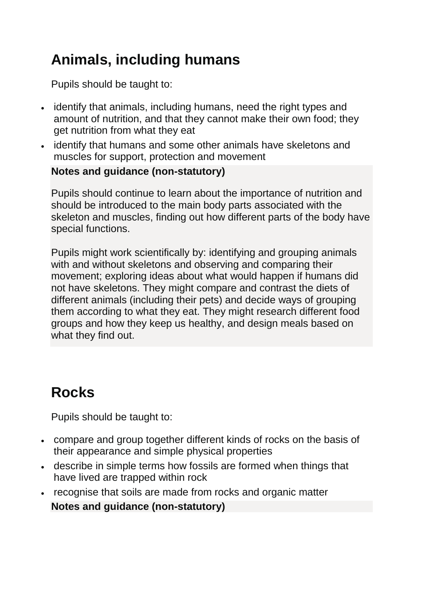## **Animals, including humans**

Pupils should be taught to:

- identify that animals, including humans, need the right types and amount of nutrition, and that they cannot make their own food; they get nutrition from what they eat
- identify that humans and some other animals have skeletons and muscles for support, protection and movement

#### **Notes and guidance (non-statutory)**

Pupils should continue to learn about the importance of nutrition and should be introduced to the main body parts associated with the skeleton and muscles, finding out how different parts of the body have special functions.

Pupils might work scientifically by: identifying and grouping animals with and without skeletons and observing and comparing their movement; exploring ideas about what would happen if humans did not have skeletons. They might compare and contrast the diets of different animals (including their pets) and decide ways of grouping them according to what they eat. They might research different food groups and how they keep us healthy, and design meals based on what they find out.

### **Rocks**

Pupils should be taught to:

- compare and group together different kinds of rocks on the basis of their appearance and simple physical properties
- describe in simple terms how fossils are formed when things that have lived are trapped within rock
- recognise that soils are made from rocks and organic matter **Notes and guidance (non-statutory)**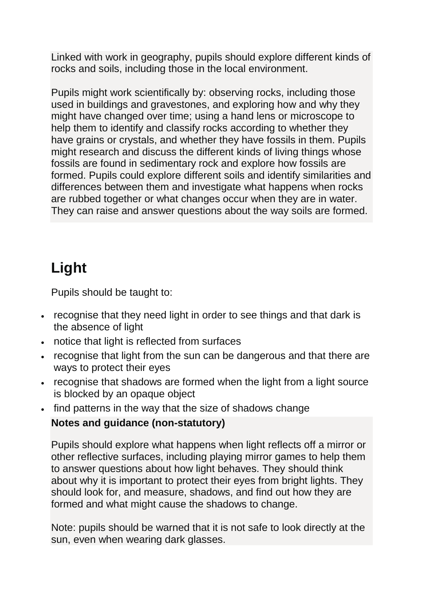Linked with work in geography, pupils should explore different kinds of rocks and soils, including those in the local environment.

Pupils might work scientifically by: observing rocks, including those used in buildings and gravestones, and exploring how and why they might have changed over time; using a hand lens or microscope to help them to identify and classify rocks according to whether they have grains or crystals, and whether they have fossils in them. Pupils might research and discuss the different kinds of living things whose fossils are found in sedimentary rock and explore how fossils are formed. Pupils could explore different soils and identify similarities and differences between them and investigate what happens when rocks are rubbed together or what changes occur when they are in water. They can raise and answer questions about the way soils are formed.

## **Light**

Pupils should be taught to:

- recognise that they need light in order to see things and that dark is the absence of light
- notice that light is reflected from surfaces
- recognise that light from the sun can be dangerous and that there are ways to protect their eyes
- recognise that shadows are formed when the light from a light source is blocked by an opaque object
- find patterns in the way that the size of shadows change **Notes and guidance (non-statutory)**

Pupils should explore what happens when light reflects off a mirror or other reflective surfaces, including playing mirror games to help them to answer questions about how light behaves. They should think about why it is important to protect their eyes from bright lights. They should look for, and measure, shadows, and find out how they are formed and what might cause the shadows to change.

Note: pupils should be warned that it is not safe to look directly at the sun, even when wearing dark glasses.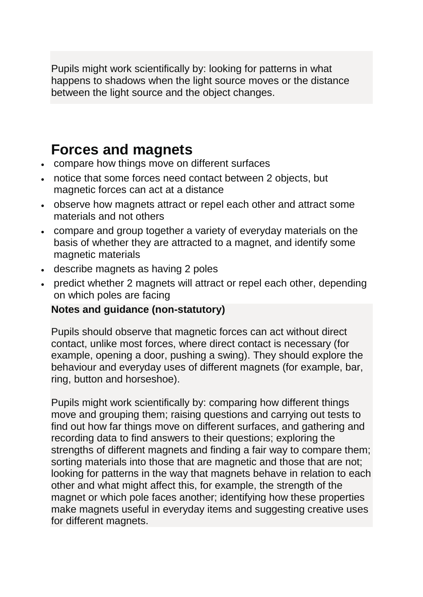Pupils might work scientifically by: looking for patterns in what happens to shadows when the light source moves or the distance between the light source and the object changes.

## **Forces and magnets**

- compare how things move on different surfaces
- notice that some forces need contact between 2 objects, but magnetic forces can act at a distance
- observe how magnets attract or repel each other and attract some materials and not others
- compare and group together a variety of everyday materials on the basis of whether they are attracted to a magnet, and identify some magnetic materials
- describe magnets as having 2 poles
- predict whether 2 magnets will attract or repel each other, depending on which poles are facing

#### **Notes and guidance (non-statutory)**

Pupils should observe that magnetic forces can act without direct contact, unlike most forces, where direct contact is necessary (for example, opening a door, pushing a swing). They should explore the behaviour and everyday uses of different magnets (for example, bar, ring, button and horseshoe).

Pupils might work scientifically by: comparing how different things move and grouping them; raising questions and carrying out tests to find out how far things move on different surfaces, and gathering and recording data to find answers to their questions; exploring the strengths of different magnets and finding a fair way to compare them; sorting materials into those that are magnetic and those that are not; looking for patterns in the way that magnets behave in relation to each other and what might affect this, for example, the strength of the magnet or which pole faces another; identifying how these properties make magnets useful in everyday items and suggesting creative uses for different magnets.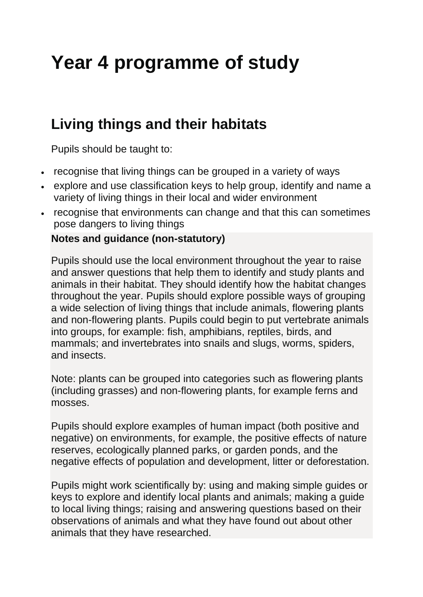# **Year 4 programme of study**

### **Living things and their habitats**

Pupils should be taught to:

- recognise that living things can be grouped in a variety of ways
- explore and use classification keys to help group, identify and name a variety of living things in their local and wider environment
- recognise that environments can change and that this can sometimes pose dangers to living things

#### **Notes and guidance (non-statutory)**

Pupils should use the local environment throughout the year to raise and answer questions that help them to identify and study plants and animals in their habitat. They should identify how the habitat changes throughout the year. Pupils should explore possible ways of grouping a wide selection of living things that include animals, flowering plants and non-flowering plants. Pupils could begin to put vertebrate animals into groups, for example: fish, amphibians, reptiles, birds, and mammals; and invertebrates into snails and slugs, worms, spiders, and insects.

Note: plants can be grouped into categories such as flowering plants (including grasses) and non-flowering plants, for example ferns and mosses.

Pupils should explore examples of human impact (both positive and negative) on environments, for example, the positive effects of nature reserves, ecologically planned parks, or garden ponds, and the negative effects of population and development, litter or deforestation.

Pupils might work scientifically by: using and making simple guides or keys to explore and identify local plants and animals; making a guide to local living things; raising and answering questions based on their observations of animals and what they have found out about other animals that they have researched.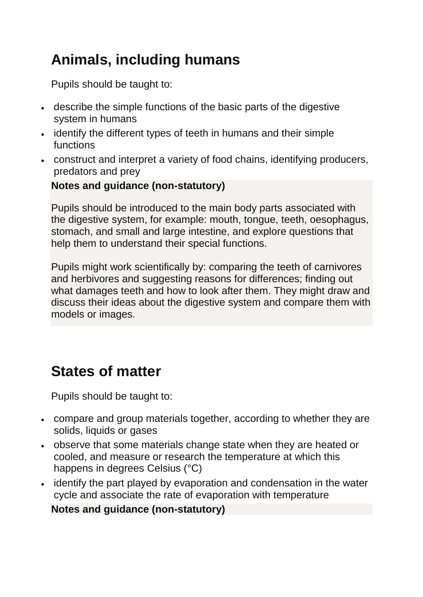## **Animals, including humans**

Pupils should be taught to:

- describe the simple functions of the basic parts of the digestive system in humans
- identify the different types of teeth in humans and their simple functions
- construct and interpret a variety of food chains, identifying producers, predators and prey

#### **Notes and guidance (non-statutory)**

Pupils should be introduced to the main body parts associated with the digestive system, for example: mouth, tongue, teeth, oesophagus, stomach, and small and large intestine, and explore questions that help them to understand their special functions.

Pupils might work scientifically by: comparing the teeth of carnivores and herbivores and suggesting reasons for differences; finding out what damages teeth and how to look after them. They might draw and discuss their ideas about the digestive system and compare them with models or images.

### **States of matter**

Pupils should be taught to:

- compare and group materials together, according to whether they are solids, liquids or gases
- observe that some materials change state when they are heated or cooled, and measure or research the temperature at which this happens in degrees Celsius (°C)
- identify the part played by evaporation and condensation in the water cycle and associate the rate of evaporation with temperature

**Notes and guidance (non-statutory)**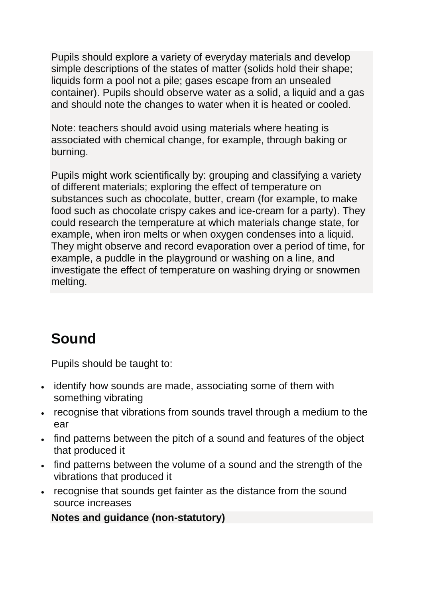Pupils should explore a variety of everyday materials and develop simple descriptions of the states of matter (solids hold their shape; liquids form a pool not a pile; gases escape from an unsealed container). Pupils should observe water as a solid, a liquid and a gas and should note the changes to water when it is heated or cooled.

Note: teachers should avoid using materials where heating is associated with chemical change, for example, through baking or burning.

Pupils might work scientifically by: grouping and classifying a variety of different materials; exploring the effect of temperature on substances such as chocolate, butter, cream (for example, to make food such as chocolate crispy cakes and ice-cream for a party). They could research the temperature at which materials change state, for example, when iron melts or when oxygen condenses into a liquid. They might observe and record evaporation over a period of time, for example, a puddle in the playground or washing on a line, and investigate the effect of temperature on washing drying or snowmen melting.

# **Sound**

Pupils should be taught to:

- identify how sounds are made, associating some of them with something vibrating
- recognise that vibrations from sounds travel through a medium to the ear
- find patterns between the pitch of a sound and features of the object that produced it
- find patterns between the volume of a sound and the strength of the vibrations that produced it
- recognise that sounds get fainter as the distance from the sound source increases

**Notes and guidance (non-statutory)**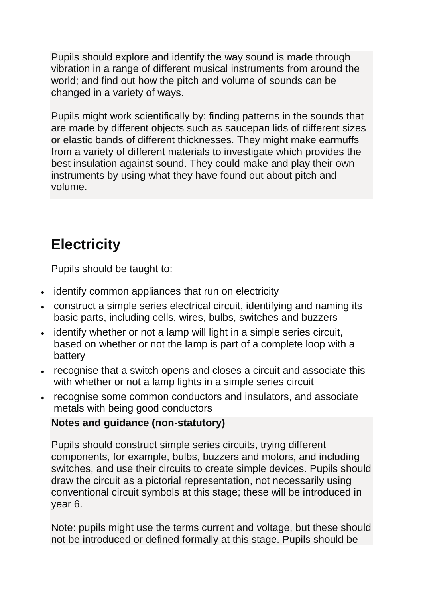Pupils should explore and identify the way sound is made through vibration in a range of different musical instruments from around the world; and find out how the pitch and volume of sounds can be changed in a variety of ways.

Pupils might work scientifically by: finding patterns in the sounds that are made by different objects such as saucepan lids of different sizes or elastic bands of different thicknesses. They might make earmuffs from a variety of different materials to investigate which provides the best insulation against sound. They could make and play their own instruments by using what they have found out about pitch and volume.

## **Electricity**

Pupils should be taught to:

- identify common appliances that run on electricity
- construct a simple series electrical circuit, identifying and naming its basic parts, including cells, wires, bulbs, switches and buzzers
- identify whether or not a lamp will light in a simple series circuit, based on whether or not the lamp is part of a complete loop with a battery
- recognise that a switch opens and closes a circuit and associate this with whether or not a lamp lights in a simple series circuit
- recognise some common conductors and insulators, and associate metals with being good conductors

#### **Notes and guidance (non-statutory)**

Pupils should construct simple series circuits, trying different components, for example, bulbs, buzzers and motors, and including switches, and use their circuits to create simple devices. Pupils should draw the circuit as a pictorial representation, not necessarily using conventional circuit symbols at this stage; these will be introduced in year 6.

Note: pupils might use the terms current and voltage, but these should not be introduced or defined formally at this stage. Pupils should be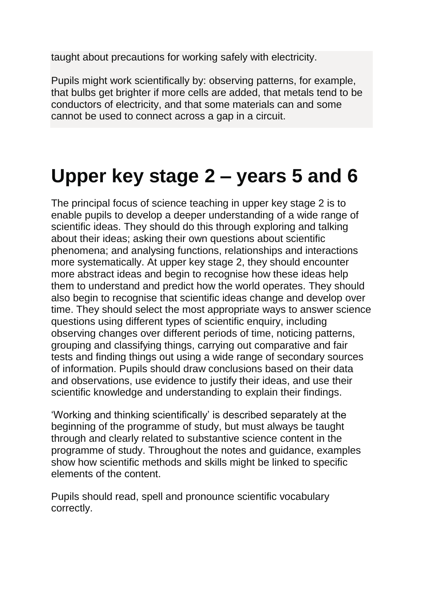taught about precautions for working safely with electricity.

Pupils might work scientifically by: observing patterns, for example, that bulbs get brighter if more cells are added, that metals tend to be conductors of electricity, and that some materials can and some cannot be used to connect across a gap in a circuit.

# **Upper key stage 2 – years 5 and 6**

The principal focus of science teaching in upper key stage 2 is to enable pupils to develop a deeper understanding of a wide range of scientific ideas. They should do this through exploring and talking about their ideas; asking their own questions about scientific phenomena; and analysing functions, relationships and interactions more systematically. At upper key stage 2, they should encounter more abstract ideas and begin to recognise how these ideas help them to understand and predict how the world operates. They should also begin to recognise that scientific ideas change and develop over time. They should select the most appropriate ways to answer science questions using different types of scientific enquiry, including observing changes over different periods of time, noticing patterns, grouping and classifying things, carrying out comparative and fair tests and finding things out using a wide range of secondary sources of information. Pupils should draw conclusions based on their data and observations, use evidence to justify their ideas, and use their scientific knowledge and understanding to explain their findings.

'Working and thinking scientifically' is described separately at the beginning of the programme of study, but must always be taught through and clearly related to substantive science content in the programme of study. Throughout the notes and guidance, examples show how scientific methods and skills might be linked to specific elements of the content.

Pupils should read, spell and pronounce scientific vocabulary correctly.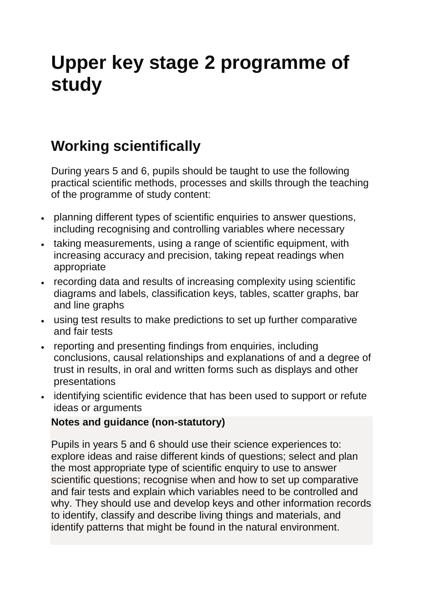# **Upper key stage 2 programme of study**

## **Working scientifically**

During years 5 and 6, pupils should be taught to use the following practical scientific methods, processes and skills through the teaching of the programme of study content:

- planning different types of scientific enquiries to answer questions, including recognising and controlling variables where necessary
- taking measurements, using a range of scientific equipment, with increasing accuracy and precision, taking repeat readings when appropriate
- recording data and results of increasing complexity using scientific diagrams and labels, classification keys, tables, scatter graphs, bar and line graphs
- using test results to make predictions to set up further comparative and fair tests
- reporting and presenting findings from enquiries, including conclusions, causal relationships and explanations of and a degree of trust in results, in oral and written forms such as displays and other presentations
- identifying scientific evidence that has been used to support or refute ideas or arguments

#### **Notes and guidance (non-statutory)**

Pupils in years 5 and 6 should use their science experiences to: explore ideas and raise different kinds of questions; select and plan the most appropriate type of scientific enquiry to use to answer scientific questions; recognise when and how to set up comparative and fair tests and explain which variables need to be controlled and why. They should use and develop keys and other information records to identify, classify and describe living things and materials, and identify patterns that might be found in the natural environment.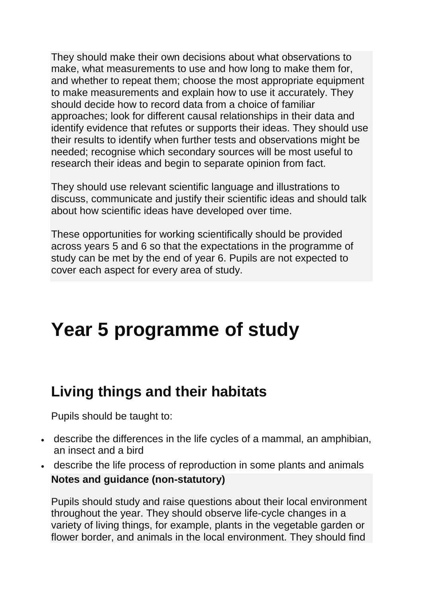They should make their own decisions about what observations to make, what measurements to use and how long to make them for, and whether to repeat them; choose the most appropriate equipment to make measurements and explain how to use it accurately. They should decide how to record data from a choice of familiar approaches; look for different causal relationships in their data and identify evidence that refutes or supports their ideas. They should use their results to identify when further tests and observations might be needed; recognise which secondary sources will be most useful to research their ideas and begin to separate opinion from fact.

They should use relevant scientific language and illustrations to discuss, communicate and justify their scientific ideas and should talk about how scientific ideas have developed over time.

These opportunities for working scientifically should be provided across years 5 and 6 so that the expectations in the programme of study can be met by the end of year 6. Pupils are not expected to cover each aspect for every area of study.

# **Year 5 programme of study**

### **Living things and their habitats**

Pupils should be taught to:

- describe the differences in the life cycles of a mammal, an amphibian, an insect and a bird
- describe the life process of reproduction in some plants and animals **Notes and guidance (non-statutory)**

Pupils should study and raise questions about their local environment throughout the year. They should observe life-cycle changes in a variety of living things, for example, plants in the vegetable garden or flower border, and animals in the local environment. They should find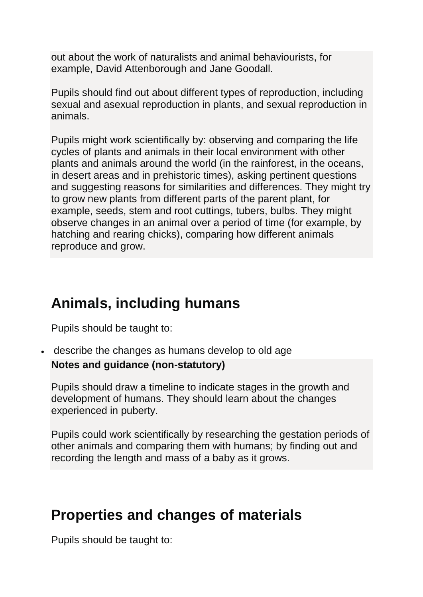out about the work of naturalists and animal behaviourists, for example, David Attenborough and Jane Goodall.

Pupils should find out about different types of reproduction, including sexual and asexual reproduction in plants, and sexual reproduction in animals.

Pupils might work scientifically by: observing and comparing the life cycles of plants and animals in their local environment with other plants and animals around the world (in the rainforest, in the oceans, in desert areas and in prehistoric times), asking pertinent questions and suggesting reasons for similarities and differences. They might try to grow new plants from different parts of the parent plant, for example, seeds, stem and root cuttings, tubers, bulbs. They might observe changes in an animal over a period of time (for example, by hatching and rearing chicks), comparing how different animals reproduce and grow.

### **Animals, including humans**

Pupils should be taught to:

 describe the changes as humans develop to old age **Notes and guidance (non-statutory)**

Pupils should draw a timeline to indicate stages in the growth and development of humans. They should learn about the changes experienced in puberty.

Pupils could work scientifically by researching the gestation periods of other animals and comparing them with humans; by finding out and recording the length and mass of a baby as it grows.

### **Properties and changes of materials**

Pupils should be taught to: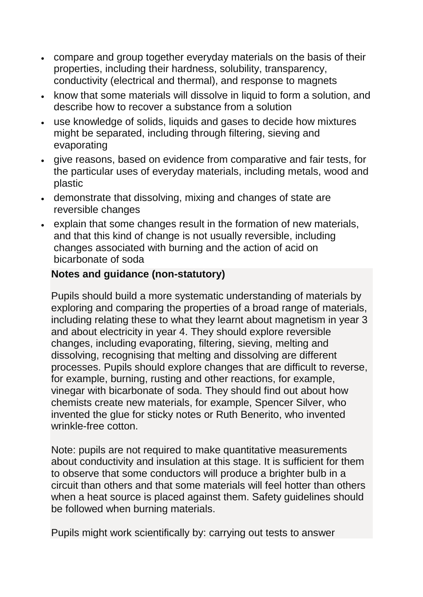- compare and group together everyday materials on the basis of their properties, including their hardness, solubility, transparency, conductivity (electrical and thermal), and response to magnets
- know that some materials will dissolve in liquid to form a solution, and describe how to recover a substance from a solution
- use knowledge of solids, liquids and gases to decide how mixtures might be separated, including through filtering, sieving and evaporating
- give reasons, based on evidence from comparative and fair tests, for the particular uses of everyday materials, including metals, wood and plastic
- demonstrate that dissolving, mixing and changes of state are reversible changes
- explain that some changes result in the formation of new materials, and that this kind of change is not usually reversible, including changes associated with burning and the action of acid on bicarbonate of soda

#### **Notes and guidance (non-statutory)**

Pupils should build a more systematic understanding of materials by exploring and comparing the properties of a broad range of materials, including relating these to what they learnt about magnetism in year 3 and about electricity in year 4. They should explore reversible changes, including evaporating, filtering, sieving, melting and dissolving, recognising that melting and dissolving are different processes. Pupils should explore changes that are difficult to reverse, for example, burning, rusting and other reactions, for example, vinegar with bicarbonate of soda. They should find out about how chemists create new materials, for example, Spencer Silver, who invented the glue for sticky notes or Ruth Benerito, who invented wrinkle-free cotton.

Note: pupils are not required to make quantitative measurements about conductivity and insulation at this stage. It is sufficient for them to observe that some conductors will produce a brighter bulb in a circuit than others and that some materials will feel hotter than others when a heat source is placed against them. Safety guidelines should be followed when burning materials.

Pupils might work scientifically by: carrying out tests to answer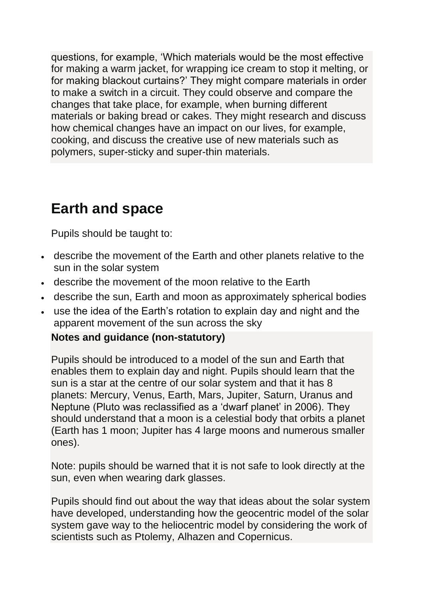questions, for example, 'Which materials would be the most effective for making a warm jacket, for wrapping ice cream to stop it melting, or for making blackout curtains?' They might compare materials in order to make a switch in a circuit. They could observe and compare the changes that take place, for example, when burning different materials or baking bread or cakes. They might research and discuss how chemical changes have an impact on our lives, for example, cooking, and discuss the creative use of new materials such as polymers, super-sticky and super-thin materials.

### **Earth and space**

Pupils should be taught to:

- describe the movement of the Earth and other planets relative to the sun in the solar system
- describe the movement of the moon relative to the Earth
- describe the sun, Earth and moon as approximately spherical bodies
- use the idea of the Earth's rotation to explain day and night and the apparent movement of the sun across the sky

#### **Notes and guidance (non-statutory)**

Pupils should be introduced to a model of the sun and Earth that enables them to explain day and night. Pupils should learn that the sun is a star at the centre of our solar system and that it has 8 planets: Mercury, Venus, Earth, Mars, Jupiter, Saturn, Uranus and Neptune (Pluto was reclassified as a 'dwarf planet' in 2006). They should understand that a moon is a celestial body that orbits a planet (Earth has 1 moon; Jupiter has 4 large moons and numerous smaller ones).

Note: pupils should be warned that it is not safe to look directly at the sun, even when wearing dark glasses.

Pupils should find out about the way that ideas about the solar system have developed, understanding how the geocentric model of the solar system gave way to the heliocentric model by considering the work of scientists such as Ptolemy, Alhazen and Copernicus.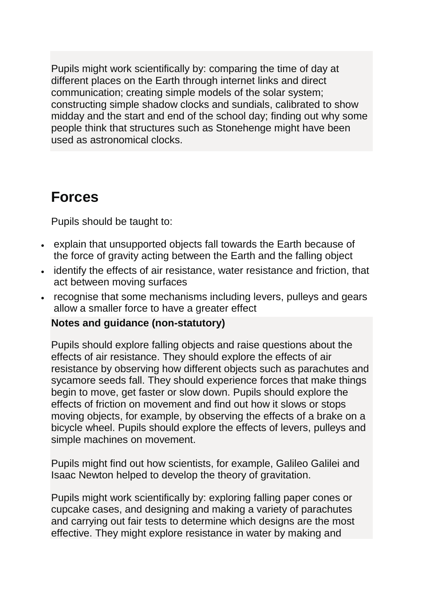Pupils might work scientifically by: comparing the time of day at different places on the Earth through internet links and direct communication; creating simple models of the solar system; constructing simple shadow clocks and sundials, calibrated to show midday and the start and end of the school day; finding out why some people think that structures such as Stonehenge might have been used as astronomical clocks.

### **Forces**

Pupils should be taught to:

- explain that unsupported objects fall towards the Earth because of the force of gravity acting between the Earth and the falling object
- identify the effects of air resistance, water resistance and friction, that act between moving surfaces
- recognise that some mechanisms including levers, pulleys and gears allow a smaller force to have a greater effect

#### **Notes and guidance (non-statutory)**

Pupils should explore falling objects and raise questions about the effects of air resistance. They should explore the effects of air resistance by observing how different objects such as parachutes and sycamore seeds fall. They should experience forces that make things begin to move, get faster or slow down. Pupils should explore the effects of friction on movement and find out how it slows or stops moving objects, for example, by observing the effects of a brake on a bicycle wheel. Pupils should explore the effects of levers, pulleys and simple machines on movement.

Pupils might find out how scientists, for example, Galileo Galilei and Isaac Newton helped to develop the theory of gravitation.

Pupils might work scientifically by: exploring falling paper cones or cupcake cases, and designing and making a variety of parachutes and carrying out fair tests to determine which designs are the most effective. They might explore resistance in water by making and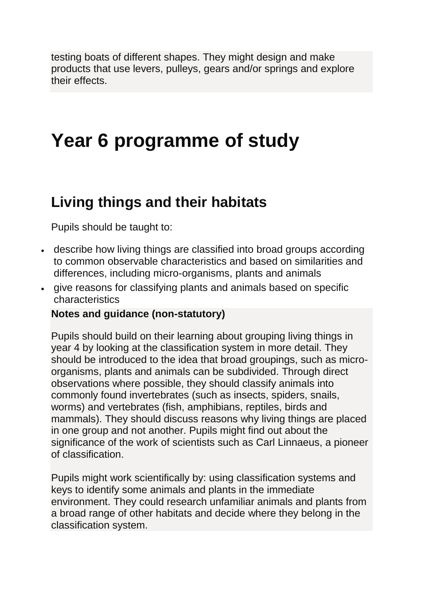testing boats of different shapes. They might design and make products that use levers, pulleys, gears and/or springs and explore their effects.

# **Year 6 programme of study**

### **Living things and their habitats**

Pupils should be taught to:

- describe how living things are classified into broad groups according to common observable characteristics and based on similarities and differences, including micro-organisms, plants and animals
- give reasons for classifying plants and animals based on specific characteristics

#### **Notes and guidance (non-statutory)**

Pupils should build on their learning about grouping living things in year 4 by looking at the classification system in more detail. They should be introduced to the idea that broad groupings, such as microorganisms, plants and animals can be subdivided. Through direct observations where possible, they should classify animals into commonly found invertebrates (such as insects, spiders, snails, worms) and vertebrates (fish, amphibians, reptiles, birds and mammals). They should discuss reasons why living things are placed in one group and not another. Pupils might find out about the significance of the work of scientists such as Carl Linnaeus, a pioneer of classification.

Pupils might work scientifically by: using classification systems and keys to identify some animals and plants in the immediate environment. They could research unfamiliar animals and plants from a broad range of other habitats and decide where they belong in the classification system.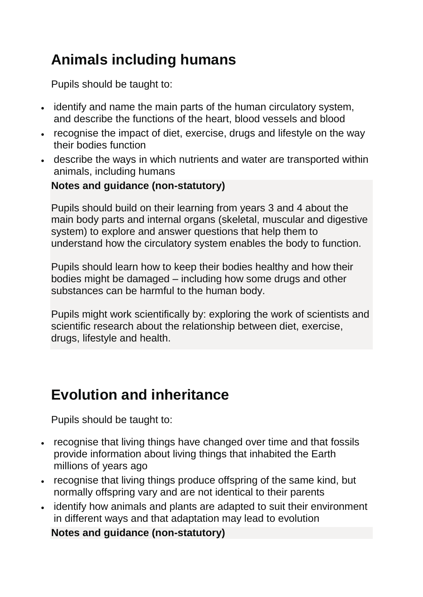## **Animals including humans**

Pupils should be taught to:

- identify and name the main parts of the human circulatory system, and describe the functions of the heart, blood vessels and blood
- recognise the impact of diet, exercise, drugs and lifestyle on the way their bodies function
- describe the ways in which nutrients and water are transported within animals, including humans

#### **Notes and guidance (non-statutory)**

Pupils should build on their learning from years 3 and 4 about the main body parts and internal organs (skeletal, muscular and digestive system) to explore and answer questions that help them to understand how the circulatory system enables the body to function.

Pupils should learn how to keep their bodies healthy and how their bodies might be damaged – including how some drugs and other substances can be harmful to the human body.

Pupils might work scientifically by: exploring the work of scientists and scientific research about the relationship between diet, exercise, drugs, lifestyle and health.

### **Evolution and inheritance**

Pupils should be taught to:

- recognise that living things have changed over time and that fossils provide information about living things that inhabited the Earth millions of years ago
- recognise that living things produce offspring of the same kind, but normally offspring vary and are not identical to their parents
- identify how animals and plants are adapted to suit their environment in different ways and that adaptation may lead to evolution

#### **Notes and guidance (non-statutory)**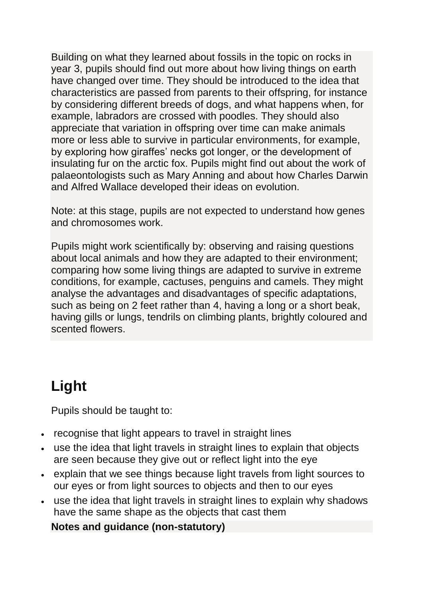Building on what they learned about fossils in the topic on rocks in year 3, pupils should find out more about how living things on earth have changed over time. They should be introduced to the idea that characteristics are passed from parents to their offspring, for instance by considering different breeds of dogs, and what happens when, for example, labradors are crossed with poodles. They should also appreciate that variation in offspring over time can make animals more or less able to survive in particular environments, for example, by exploring how giraffes' necks got longer, or the development of insulating fur on the arctic fox. Pupils might find out about the work of palaeontologists such as Mary Anning and about how Charles Darwin and Alfred Wallace developed their ideas on evolution.

Note: at this stage, pupils are not expected to understand how genes and chromosomes work.

Pupils might work scientifically by: observing and raising questions about local animals and how they are adapted to their environment; comparing how some living things are adapted to survive in extreme conditions, for example, cactuses, penguins and camels. They might analyse the advantages and disadvantages of specific adaptations, such as being on 2 feet rather than 4, having a long or a short beak, having gills or lungs, tendrils on climbing plants, brightly coloured and scented flowers.

## **Light**

Pupils should be taught to:

- recognise that light appears to travel in straight lines
- use the idea that light travels in straight lines to explain that objects are seen because they give out or reflect light into the eye
- explain that we see things because light travels from light sources to our eyes or from light sources to objects and then to our eyes
- use the idea that light travels in straight lines to explain why shadows have the same shape as the objects that cast them

**Notes and guidance (non-statutory)**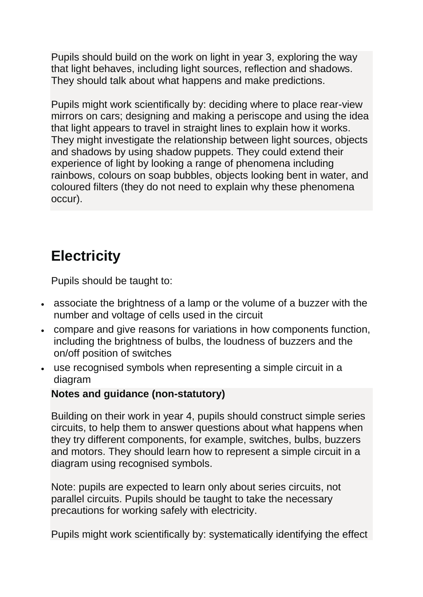Pupils should build on the work on light in year 3, exploring the way that light behaves, including light sources, reflection and shadows. They should talk about what happens and make predictions.

Pupils might work scientifically by: deciding where to place rear-view mirrors on cars; designing and making a periscope and using the idea that light appears to travel in straight lines to explain how it works. They might investigate the relationship between light sources, objects and shadows by using shadow puppets. They could extend their experience of light by looking a range of phenomena including rainbows, colours on soap bubbles, objects looking bent in water, and coloured filters (they do not need to explain why these phenomena occur).

## **Electricity**

Pupils should be taught to:

- associate the brightness of a lamp or the volume of a buzzer with the number and voltage of cells used in the circuit
- compare and give reasons for variations in how components function, including the brightness of bulbs, the loudness of buzzers and the on/off position of switches
- use recognised symbols when representing a simple circuit in a diagram

#### **Notes and guidance (non-statutory)**

Building on their work in year 4, pupils should construct simple series circuits, to help them to answer questions about what happens when they try different components, for example, switches, bulbs, buzzers and motors. They should learn how to represent a simple circuit in a diagram using recognised symbols.

Note: pupils are expected to learn only about series circuits, not parallel circuits. Pupils should be taught to take the necessary precautions for working safely with electricity.

Pupils might work scientifically by: systematically identifying the effect